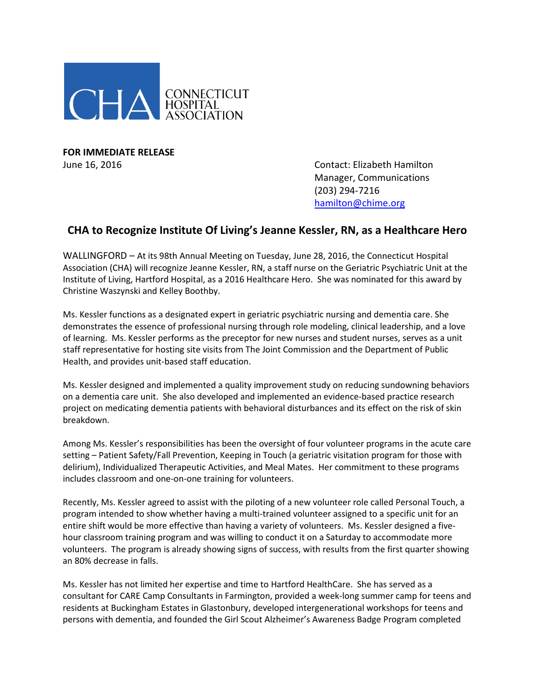

**FOR IMMEDIATE RELEASE**

June 16, 2016 Contact: Elizabeth Hamilton Manager, Communications (203) 294-7216 [hamilton@chime.org](mailto:hamilton@chime.org)

## **CHA to Recognize Institute Of Living's Jeanne Kessler, RN, as a Healthcare Hero**

WALLINGFORD – At its 98th Annual Meeting on Tuesday, June 28, 2016, the Connecticut Hospital Association (CHA) will recognize Jeanne Kessler, RN, a staff nurse on the Geriatric Psychiatric Unit at the Institute of Living, Hartford Hospital, as a 2016 Healthcare Hero. She was nominated for this award by Christine Waszynski and Kelley Boothby.

Ms. Kessler functions as a designated expert in geriatric psychiatric nursing and dementia care. She demonstrates the essence of professional nursing through role modeling, clinical leadership, and a love of learning. Ms. Kessler performs as the preceptor for new nurses and student nurses, serves as a unit staff representative for hosting site visits from The Joint Commission and the Department of Public Health, and provides unit-based staff education.

Ms. Kessler designed and implemented a quality improvement study on reducing sundowning behaviors on a dementia care unit. She also developed and implemented an evidence-based practice research project on medicating dementia patients with behavioral disturbances and its effect on the risk of skin breakdown.

Among Ms. Kessler's responsibilities has been the oversight of four volunteer programs in the acute care setting – Patient Safety/Fall Prevention, Keeping in Touch (a geriatric visitation program for those with delirium), Individualized Therapeutic Activities, and Meal Mates. Her commitment to these programs includes classroom and one-on-one training for volunteers.

Recently, Ms. Kessler agreed to assist with the piloting of a new volunteer role called Personal Touch, a program intended to show whether having a multi-trained volunteer assigned to a specific unit for an entire shift would be more effective than having a variety of volunteers. Ms. Kessler designed a fivehour classroom training program and was willing to conduct it on a Saturday to accommodate more volunteers. The program is already showing signs of success, with results from the first quarter showing an 80% decrease in falls.

Ms. Kessler has not limited her expertise and time to Hartford HealthCare. She has served as a consultant for CARE Camp Consultants in Farmington, provided a week-long summer camp for teens and residents at Buckingham Estates in Glastonbury, developed intergenerational workshops for teens and persons with dementia, and founded the Girl Scout Alzheimer's Awareness Badge Program completed